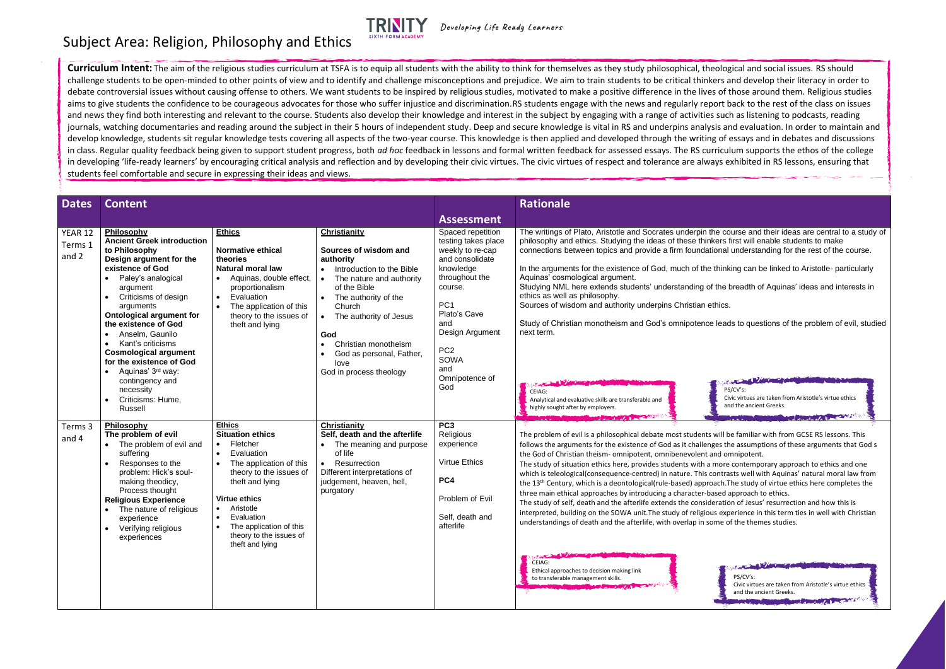**Curriculum Intent:** The aim of the religious studies curriculum at TSFA is to equip all students with the ability to think for themselves as they study philosophical, theological and social issues. RS should challenge students to be open-minded to other points of view and to identify and challenge misconceptions and prejudice. We aim to train students to be critical thinkers and develop their literacy in order to debate controversial issues without causing offense to others. We want students to be inspired by religious studies, motivated to make a positive difference in the lives of those around them. Religious studies aims to give students the confidence to be courageous advocates for those who suffer injustice and discrimination.RS students engage with the news and regularly report back to the rest of the class on issues and news they find both interesting and relevant to the course. Students also develop their knowledge and interest in the subject by engaging with a range of activities such as listening to podcasts, reading journals, watching documentaries and reading around the subject in their 5 hours of independent study. Deep and secure knowledge is vital in RS and underpins analysis and evaluation. In order to maintain and develop knowledge, students sit regular knowledge tests covering all aspects of the two-year course. This knowledge is then applied and developed through the writing of essays and in debates and discussions in class. Regular quality feedback being given to support student progress, both *ad hoc* feedback in lessons and formal written feedback for assessed essays. The RS curriculum supports the ethos of the college in developing 'life-ready learners' by encouraging critical analysis and reflection and by developing their civic virtues. The civic virtues of respect and tolerance are always exhibited in RS lessons, ensuring that students feel comfortable and secure in expressing their ideas and views.

| <b>Dates</b>                | <b>Content</b>                                                                                                                                                                                                                                                                                                                                                                                                                                                                                             |                                                                                                                                                                                                                                                                                      |                                                                                                                                                                                                                                                                                                                                                  |                                                                                                                                                                                                                                                   | <b>Rationale</b>                                                                                                                                                                                                                                                                                                                                                                                                                                                                                                                                                                                                                                                                                                                                                                                                                                                                                                                                                                                                                                                                        |
|-----------------------------|------------------------------------------------------------------------------------------------------------------------------------------------------------------------------------------------------------------------------------------------------------------------------------------------------------------------------------------------------------------------------------------------------------------------------------------------------------------------------------------------------------|--------------------------------------------------------------------------------------------------------------------------------------------------------------------------------------------------------------------------------------------------------------------------------------|--------------------------------------------------------------------------------------------------------------------------------------------------------------------------------------------------------------------------------------------------------------------------------------------------------------------------------------------------|---------------------------------------------------------------------------------------------------------------------------------------------------------------------------------------------------------------------------------------------------|-----------------------------------------------------------------------------------------------------------------------------------------------------------------------------------------------------------------------------------------------------------------------------------------------------------------------------------------------------------------------------------------------------------------------------------------------------------------------------------------------------------------------------------------------------------------------------------------------------------------------------------------------------------------------------------------------------------------------------------------------------------------------------------------------------------------------------------------------------------------------------------------------------------------------------------------------------------------------------------------------------------------------------------------------------------------------------------------|
|                             |                                                                                                                                                                                                                                                                                                                                                                                                                                                                                                            |                                                                                                                                                                                                                                                                                      |                                                                                                                                                                                                                                                                                                                                                  | <b>Assessment</b>                                                                                                                                                                                                                                 |                                                                                                                                                                                                                                                                                                                                                                                                                                                                                                                                                                                                                                                                                                                                                                                                                                                                                                                                                                                                                                                                                         |
| YEAR 12<br>Terms 1<br>and 2 | Philosophy<br><b>Ancient Greek introduction</b><br>to Philosophy<br>Design argument for the<br>existence of God<br>Paley's analogical<br>argument<br>Criticisms of design<br>$\bullet$<br>arguments<br><b>Ontological argument for</b><br>the existence of God<br>Anselm, Gaunilo<br>$\bullet$<br>Kant's criticisms<br>$\bullet$<br><b>Cosmological argument</b><br>for the existence of God<br>Aquinas' 3 <sup>rd</sup> way:<br>$\bullet$<br>contingency and<br>necessity<br>Criticisms: Hume,<br>Russell | <b>Ethics</b><br><b>Normative ethical</b><br>theories<br><b>Natural moral law</b><br>Aquinas, double effect,<br>proportionalism<br>Evaluation<br>$\bullet$<br>The application of this<br>theory to the issues of<br>theft and lying                                                  | <b>Christianity</b><br>Sources of wisdom and<br>authority<br>Introduction to the Bible<br>The nature and authority<br>$\bullet$<br>of the Bible<br>The authority of the<br>Church<br>The authority of Jesus<br>$\bullet$<br>God<br>Christian monotheism<br>$\bullet$<br>God as personal, Father,<br>$\bullet$<br>love<br>God in process theology | Spaced repetition<br>testing takes place<br>weekly to re-cap<br>and consolidate<br>knowledge<br>throughout the<br>course.<br>PC <sub>1</sub><br>Plato's Cave<br>and<br>Design Argument<br>PC <sub>2</sub><br>SOWA<br>and<br>Omnipotence of<br>God | The writings of Plato, Aristotle and Socrates underpin the co<br>philosophy and ethics. Studying the ideas of these thinkers f<br>connections between topics and provide a firm foundational<br>In the arguments for the existence of God, much of the think<br>Aquinas' cosmological argument.<br>Studying NML here extends students' understanding of the I<br>ethics as well as philosophy.<br>Sources of wisdom and authority underpins Christian ethics.<br>Study of Christian monotheism and God's omnipotence lead<br>next term.<br>PS<br>CEIAG:<br>Ci<br>Analytical and evaluative skills are transferable and<br>an<br>highly sought after by employers.                                                                                                                                                                                                                                                                                                                                                                                                                       |
| Terms 3<br>and 4            | Philosophy<br>The problem of evil<br>The problem of evil and<br>suffering<br>Responses to the<br>$\bullet$<br>problem: Hick's soul-<br>making theodicy,<br>Process thought<br><b>Religious Experience</b><br>The nature of religious<br>experience<br>Verifying religious<br>experiences                                                                                                                                                                                                                   | <b>Ethics</b><br><b>Situation ethics</b><br>Fletcher<br>Evaluation<br>The application of this<br>$\bullet$<br>theory to the issues of<br>theft and lying<br><b>Virtue ethics</b><br>Aristotle<br>Evaluation<br>The application of this<br>theory to the issues of<br>theft and lying | Christianity<br>Self, death and the afterlife<br>The meaning and purpose<br>of life<br>Resurrection<br>$\bullet$<br>Different interpretations of<br>judgement, heaven, hell,<br>purgatory                                                                                                                                                        | PC <sub>3</sub><br>Religious<br>experience<br>Virtue Ethics<br>PC4<br>Problem of Evil<br>Self, death and<br>afterlife                                                                                                                             | <b>The Committee of the Committee of the Committee of the Committee of the Committee of the Committee of the Committee of the Committee of the Committee of the Committee of the Committee of the Committee of the Committee of </b><br>The problem of evil is a philosophical debate most students will b<br>follows the arguments for the existence of God as it challenges th<br>the God of Christian theism- omnipotent, omnibenevolent and or<br>The study of situation ethics here, provides students with a more<br>which is teleological(consequence-centred) in nature. This contra<br>the 13 <sup>th</sup> Century, which is a deontological(rule-based) approach.T<br>three main ethical approaches by introducing a character-based a<br>The study of self, death and the afterlife extends the consideration<br>interpreted, building on the SOWA unit. The study of religious exp<br>understandings of death and the afterlife, with overlap in some o<br><b>CONTRACTOR</b><br>CEIAG:<br>Ethical approaches to decision making link<br>to transferable management skills. |

e course and their ideas are central to a study of ers first will enable students to make onal understanding for the rest of the course.

hinking can be linked to Aristotle- particularly

the breadth of Aquinas' ideas and interests in

leads to questions of the problem of evil, studied

## Subject Area: Religion, Philosophy and Ethics



Developing Life Ready Learners



will be familiar with from GCSE RS lessons. This es the assumptions of these arguments that God s nd omnipotent.

nore contemporary approach to ethics and one ontrasts well with Aquinas' natural moral law from ach. The study of virtue ethics here completes the sed approach to ethics.

ration of Jesus' resurrection and how this is experience in this term ties in well with Christian me of the themes studies.

**CONTRACTOR** PS/CV's: Civic virtues are taken from Aristotle's virtue ethics and the ancient Greeks.<br>December 2008 News 2004 NATA Reserves